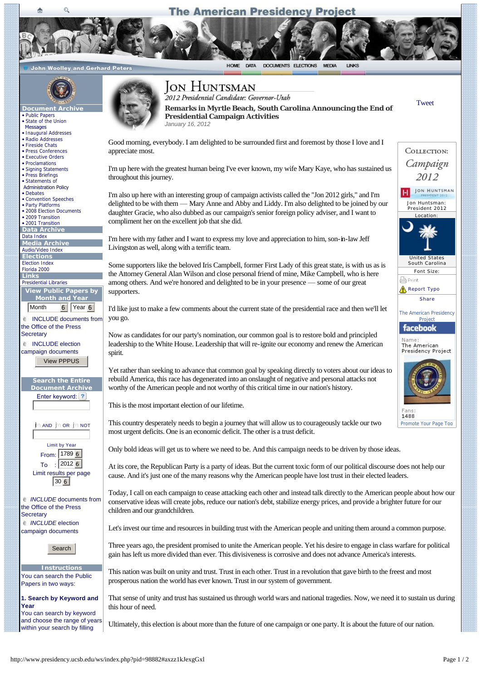## **The American Presidency Project**

HOME DATA DOCUMENTS ELECTIONS MEDIA LINKS

**John Woolley and Gerhard Peters** 



Ō

- **Document**
- [Public Papers](http://www.presidency.ucsb.edu/ws) • [State of the Union](http://www.presidency.ucsb.edu/sou.php)
- **Messages**
- [Inaugural Addresses](http://www.presidency.ucsb.edu/inaugurals.php) • [Radio Addresses](http://www.presidency.ucsb.edu/satradio.php)
- [Fireside Chats](http://www.presidency.ucsb.edu/fireside.php)
- [Press Conferences](http://www.presidency.ucsb.edu/news_conferences.php)
- [Executive Orders](http://www.presidency.ucsb.edu/executive_orders.php)
- [Proclamations](http://www.presidency.ucsb.edu/proclamations.php)
- [Signing Statements](http://www.presidency.ucsb.edu/signingstatements.php)
- [Press Briefings](http://www.presidency.ucsb.edu/press_briefings.php)
- Statements of  [Administration Policy](http://www.presidency.ucsb.edu/saps.php)
- [Debates](http://www.presidency.ucsb.edu/debates.php)
- [Convention Speeches](http://www.presidency.ucsb.edu/nomination.php)
- [Party Platforms](http://www.presidency.ucsb.edu/platforms.php)
- [2008 Election Documents](http://www.presidency.ucsb.edu/2008_election.php)  • [2009 Transition](http://www.presidency.ucsb.edu/transition2009.php)
- [2001 Transition](http://www.presidency.ucsb.edu/transition2001.php)

**Data Archive** 

[Data Index](http://www.presidency.ucsb.edu/data.php)

**Media Archive**

[Audio/Video Index](http://www.presidency.ucsb.edu/media.php) **Elections**

[Election Index](http://www.presidency.ucsb.edu/elections.php)

| Florida 2000 |  |
|--------------|--|
| l ink        |  |

| --------<br><b>Presidential Libraries</b> |
|-------------------------------------------|
| View Public Papers by                     |

**Month and Year** Month 6 Year 6

 $e$  INCLUDE documents from the Office of the Press **Secretary** 

 $é$  INCLUDE election campaign documents View PPPUS



 $\mathbf i$ n and  $\mathbf j$ n or  $\mathbf i$ n not  $\mathbf i$ 

| <b>Limit by Year</b>   |                      |  |  |  |
|------------------------|----------------------|--|--|--|
|                        | From: 1789 6         |  |  |  |
| To                     | $\frac{1}{2}$ 2012 6 |  |  |  |
| Limit results per page |                      |  |  |  |
| 30 <sub>6</sub>        |                      |  |  |  |

 $\epsilon$  *INCLUDE* documents from the Office of the Press **Secretary**  $é$  *INCLUDE* election campaign documents

Search

**Instructions** You can search the Public Papers in two ways:

**1. Search by Keyword and Year** You can search by keyword and choose the range of years within your search by filling



## **JON HUNTSMAN**

[Tweet](https://twitter.com/share) **Remarks in Myrtle Beach, South Carolina Announcing the End of Presidential Campaign Activities** *January 16, 2012*

пī

Jon Huntsman: President 2012 Location:

COLLECTION: Campaign 2012 JON HUNTSMAN

United States South Carolina Font Size:

[Promote Your Page Too](http://www.facebook.com/business/dashboard/)

1488

[Report Typo](http://www.presidency.ucsb.edu/ws/index.php?pid=98882#) [Share](http://www.addthis.com/bookmark.php?v=250&username=gerhard71) The American Presidency Project

facebook Name The American Presidency Project

e<br>
Print

Good morning, everybody. I am delighted to be surrounded first and foremost by those I love and I appreciate most.

I'm up here with the greatest human being I've ever known, my wife Mary Kaye, who has sustained us throughout this journey.

I'm also up here with an interesting group of campaign activists called the "Jon 2012 girls," and I'm delighted to be with them — Mary Anne and Abby and Liddy. I'm also delighted to be joined by our daughter Gracie, who also dubbed as our campaign's senior foreign policy adviser, and I want to compliment her on the excellent job that she did.

I'm here with my father and I want to express my love and appreciation to him, son-in-law Jeff Livingston as well, along with a terrific team.

Some supporters like the beloved Iris Campbell, former First Lady of this great state, is with us as is the Attorney General Alan Wilson and close personal friend of mine, Mike Campbell, who is here among others. And we're honored and delighted to be in your presence — some of our great supporters.

I'd like just to make a few comments about the current state of the presidential race and then we'll let you go.

Now as candidates for our party's nomination, our common goal is to restore bold and principled leadership to the White House. Leadership that will re-ignite our economy and renew the American spirit.

Yet rather than seeking to advance that common goal by speaking directly to voters about our ideas to rebuild America, this race has degenerated into an onslaught of negative and personal attacks not worthy of the American people and not worthy of this critical time in our nation's history.

This is the most important election of our lifetime.

This country desperately needs to begin a journey that will allow us to courageously tackle our two most urgent deficits. One is an economic deficit. The other is a trust deficit.

Only bold ideas will get us to where we need to be. And this campaign needs to be driven by those ideas.

At its core, the Republican Party is a party of ideas. But the current toxic form of our political discourse does not help our cause. And it's just one of the many reasons why the American people have lost trust in their elected leaders.

Today, I call on each campaign to cease attacking each other and instead talk directly to the American people about how our conservative ideas will create jobs, reduce our nation's debt, stabilize energy prices, and provide a brighter future for our children and our grandchildren.

Let's invest our time and resources in building trust with the American people and uniting them around a common purpose.

Three years ago, the president promised to unite the American people. Yet his desire to engage in class warfare for political gain has left us more divided than ever. This divisiveness is corrosive and does not advance America's interests.

This nation was built on unity and trust. Trust in each other. Trust in a revolution that gave birth to the freest and most prosperous nation the world has ever known. Trust in our system of government.

That sense of unity and trust has sustained us through world wars and national tragedies. Now, we need it to sustain us during this hour of need.

Ultimately, this election is about more than the future of one campaign or one party. It is about the future of our nation.